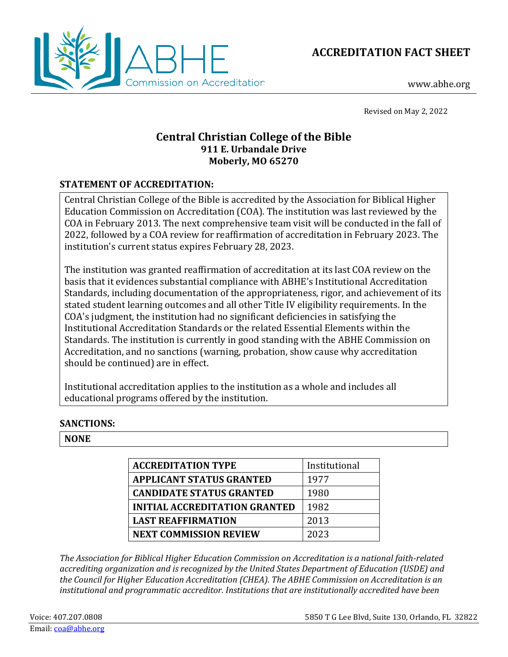



www.abhe.org

Revised on May 2, 2022

# **Central Christian College of the Bible 911 E. Urbandale Drive Moberly, MO 65270**

## **STATEMENT OF ACCREDITATION:**

Central Christian College of the Bible is accredited by the Association for Biblical Higher Education Commission on Accreditation (COA). The institution was last reviewed by the COA in February 2013. The next comprehensive team visit will be conducted in the fall of 2022, followed by a COA review for reaffirmation of accreditation in February 2023. The institution's current status expires February 28, 2023.

The institution was granted reaffirmation of accreditation at its last COA review on the basis that it evidences substantial compliance with ABHE's Institutional Accreditation Standards, including documentation of the appropriateness, rigor, and achievement of its stated student learning outcomes and all other Title IV eligibility requirements. In the COA's judgment, the institution had no significant deficiencies in satisfying the Institutional Accreditation Standards or the related Essential Elements within the Standards. The institution is currently in good standing with the ABHE Commission on Accreditation, and no sanctions (warning, probation, show cause why accreditation should be continued) are in effect.

Institutional accreditation applies to the institution as a whole and includes all educational programs offered by the institution.

## **SANCTIONS:**

#### **NONE**

| <b>ACCREDITATION TYPE</b>            | Institutional |
|--------------------------------------|---------------|
| <b>APPLICANT STATUS GRANTED</b>      | 1977          |
| <b>CANDIDATE STATUS GRANTED</b>      | 1980          |
| <b>INITIAL ACCREDITATION GRANTED</b> | 1982          |
| <b>LAST REAFFIRMATION</b>            | 2013          |
| <b>NEXT COMMISSION REVIEW</b>        | 2023          |

*The Association for Biblical Higher Education Commission on Accreditation is a national faith-related accrediting organization and is recognized by the United States Department of Education (USDE) and the Council for Higher Education Accreditation (CHEA). The ABHE Commission on Accreditation is an institutional and programmatic accreditor. Institutions that are institutionally accredited have been*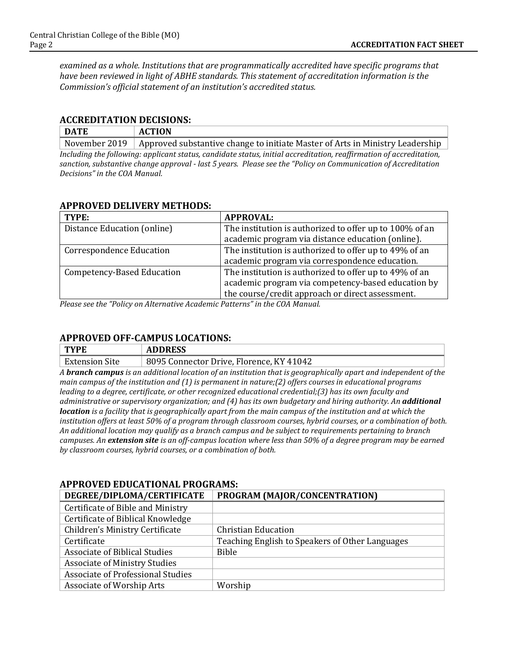*examined as a whole. Institutions that are programmatically accredited have specific programs that have been reviewed in light of ABHE standards. This statement of accreditation information is the Commission's official statement of an institution's accredited status.*

#### **ACCREDITATION DECISIONS:**

| DATE                                                                                                               | <b>ACTION</b>                                                                                 |
|--------------------------------------------------------------------------------------------------------------------|-----------------------------------------------------------------------------------------------|
|                                                                                                                    | November 2019   Approved substantive change to initiate Master of Arts in Ministry Leadership |
| Including the following, applicant status, condidate status, initial acqueditation, reaffirmation of acqueditation |                                                                                               |

*Including the following: applicant status, candidate status, initial accreditation, reaffirmation of accreditation, sanction, substantive change approval - last 5 years. Please see the "Policy on Communication of Accreditation Decisions" in the COA Manual.*

### **APPROVED DELIVERY METHODS:**

| TYPE:                             | <b>APPROVAL:</b>                                        |
|-----------------------------------|---------------------------------------------------------|
| Distance Education (online)       | The institution is authorized to offer up to 100% of an |
|                                   | academic program via distance education (online).       |
| <b>Correspondence Education</b>   | The institution is authorized to offer up to 49% of an  |
|                                   | academic program via correspondence education.          |
| <b>Competency-Based Education</b> | The institution is authorized to offer up to 49% of an  |
|                                   | academic program via competency-based education by      |
|                                   | the course/credit approach or direct assessment.        |

*Please see the "Policy on Alternative Academic Patterns" in the COA Manual.*

## **APPROVED OFF-CAMPUS LOCATIONS:**

| <b>TYPE</b>           | <b>ADDRESS</b>                           |
|-----------------------|------------------------------------------|
| <b>Extension Site</b> | 8095 Connector Drive, Florence, KY 41042 |

*A branch campus is an additional location of an institution that is geographically apart and independent of the main campus of the institution and (1) is permanent in nature;(2) offers courses in educational programs leading to a degree, certificate, or other recognized educational credential;(3) has its own faculty and administrative or supervisory organization; and (4) has its own budgetary and hiring authority. An additional location is a facility that is geographically apart from the main campus of the institution and at which the institution offers at least 50% of a program through classroom courses, hybrid courses, or a combination of both. An additional location may qualify as a branch campus and be subject to requirements pertaining to branch campuses. An extension site is an off-campus location where less than 50% of a degree program may be earned by classroom courses, hybrid courses, or a combination of both.*

## **APPROVED EDUCATIONAL PROGRAMS:**

| DEGREE/DIPLOMA/CERTIFICATE           | PROGRAM (MAJOR/CONCENTRATION)                   |
|--------------------------------------|-------------------------------------------------|
| Certificate of Bible and Ministry    |                                                 |
| Certificate of Biblical Knowledge    |                                                 |
| Children's Ministry Certificate      | <b>Christian Education</b>                      |
| Certificate                          | Teaching English to Speakers of Other Languages |
| <b>Associate of Biblical Studies</b> | Bible                                           |
| <b>Associate of Ministry Studies</b> |                                                 |
| Associate of Professional Studies    |                                                 |
| Associate of Worship Arts            | Worship                                         |